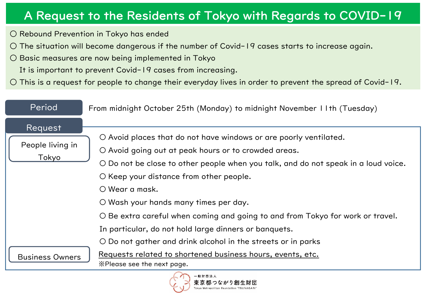# A Request to the Residents of Tokyo with Regards to COVID-19

○ Rebound Prevention in Tokyo has ended

 $\circ$  The situation will become dangerous if the number of Covid-19 cases starts to increase again.

○ Basic measures are now being implemented in Tokyo

It is important to prevent Covid-19 cases from increasing.

○ This is a request for people to change their everyday lives in order to prevent the spread of Covid-19.

| Period                    | From midnight October 25th (Monday) to midnight November 11th (Tuesday)                   |  |
|---------------------------|-------------------------------------------------------------------------------------------|--|
| Request                   |                                                                                           |  |
| People living in<br>Tokyo | O Avoid places that do not have windows or are poorly ventilated.                         |  |
|                           | O Avoid going out at peak hours or to crowded areas.                                      |  |
|                           | O Do not be close to other people when you talk, and do not speak in a loud voice.        |  |
|                           | O Keep your distance from other people.                                                   |  |
|                           | $\bigcirc$ Wear a mask.                                                                   |  |
|                           | O Wash your hands many times per day.                                                     |  |
|                           | O Be extra careful when coming and going to and from Tokyo for work or travel.            |  |
| <b>Business Owners</b>    | In particular, do not hold large dinners or banquets.                                     |  |
|                           | O Do not gather and drink alcohol in the streets or in parks                              |  |
|                           | Requests related to shortened business hours, events, etc.<br>X Please see the next page. |  |
| 一般財団法人                    |                                                                                           |  |

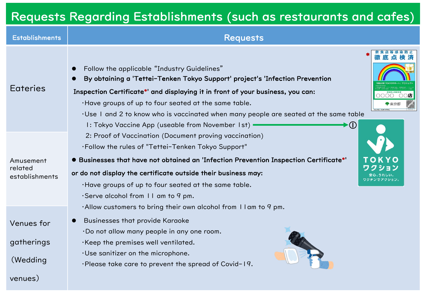# Requests Regarding Establishments (such as restaurants and cafes)

| <b>Establishments</b>                  | <b>Requests</b>                                                                                                                                                                                                                                                                                                                                                                                                                                                             |
|----------------------------------------|-----------------------------------------------------------------------------------------------------------------------------------------------------------------------------------------------------------------------------------------------------------------------------------------------------------------------------------------------------------------------------------------------------------------------------------------------------------------------------|
| <b>Eateries</b>                        | Follow the applicable "Industry Guidelines"<br>By obtaining a 'Tettei-Tenken Tokyo Support' project's 'Infection Prevention<br>Inspection Certificate*' and displaying it in front of your business, you can:<br>0000<br>○○店<br>. Have groups of up to four seated at the same table.<br>. Use I and 2 to know who is vaccinated when many people are seated at the same table<br>$\blacktriangleright \textcircled{1}$<br>I: Tokyo Vaccine App (useable from November 1st) |
| Amusement<br>related<br>establishments | 2: Proof of Vaccination (Document proving vaccination)<br>. Follow the rules of "Tettei-Tenken Tokyo Support"<br>• Businesses that have not obtained an 'Infection Prevention Inspection Certificate*'<br>OKYO<br>クション<br>or do not display the certificate outside their business may:<br>·Have groups of up to four seated at the same table.<br>Serve alcohol from $  \cdot  $ am to 9 pm.<br>$\cdot$ Allow customers to bring their own alcohol from I I am to 9 pm.    |
| Venues for<br>gatherings<br>(Wedding   | <b>Businesses that provide Karaoke</b><br>·Do not allow many people in any one room.<br>·Keep the premises well ventilated.<br>·Use sanitizer on the microphone.<br>·Please take care to prevent the spread of Covid-19.                                                                                                                                                                                                                                                    |
| venues)                                |                                                                                                                                                                                                                                                                                                                                                                                                                                                                             |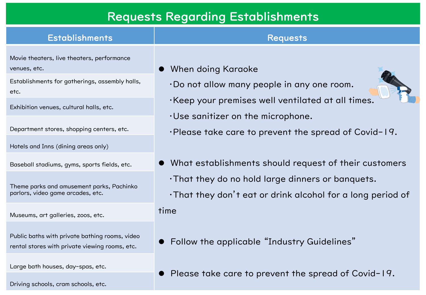## Requests Regarding Establishments

### Establishments **Requests** Movie theaters, live theaters, performance venues, etc. **and a set of the contract of the U.S. Contract of the When doing Karaoke** ・Do not allow many people in any one room. ・Keep your premises well ventilated at all times. ・Use sanitizer on the microphone. Establishments for gatherings, assembly halls, etc. Exhibition venues, cultural halls, etc.

Department stores, shopping centers, etc.

Hotels and Inns (dining areas only)

Baseball stadiums, gyms, sports fields, etc.

Theme parks and amusement parks, Pachinko parlors, video game arcades, etc.

Museums, art galleries, zoos, etc.

Public baths with private bathing rooms, video rental stores with private viewing rooms, etc.

Large bath houses, day-spas, etc.

Driving schools, cram schools, etc.

## $\bullet\,$  What establishments should request of their customers

・Please take care to prevent the spread of Covid-19.

- ・That they do no hold large dinners or banquets.
- ・That they don't eat or drink alcohol for a long period of

#### time

- Follow the applicable "Industry Guidelines"
- Please take care to prevent the spread of Covid-19.